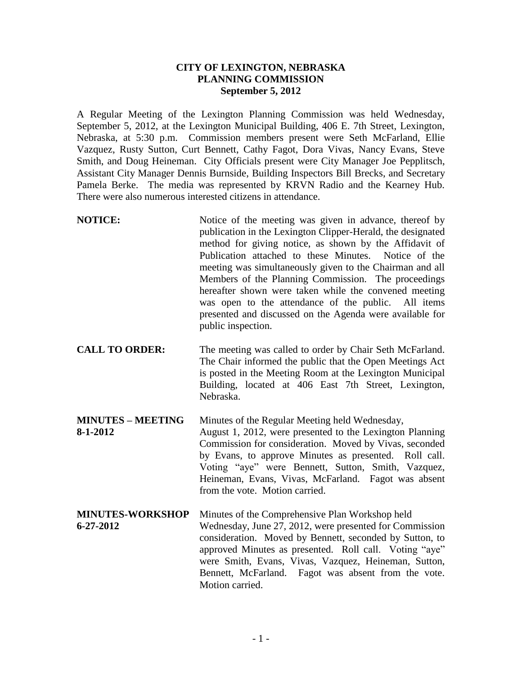## **CITY OF LEXINGTON, NEBRASKA PLANNING COMMISSION September 5, 2012**

A Regular Meeting of the Lexington Planning Commission was held Wednesday, September 5, 2012, at the Lexington Municipal Building, 406 E. 7th Street, Lexington, Nebraska, at 5:30 p.m. Commission members present were Seth McFarland, Ellie Vazquez, Rusty Sutton, Curt Bennett, Cathy Fagot, Dora Vivas, Nancy Evans, Steve Smith, and Doug Heineman. City Officials present were City Manager Joe Pepplitsch, Assistant City Manager Dennis Burnside, Building Inspectors Bill Brecks, and Secretary Pamela Berke. The media was represented by KRVN Radio and the Kearney Hub. There were also numerous interested citizens in attendance.

- **NOTICE:** Notice of the meeting was given in advance, thereof by publication in the Lexington Clipper-Herald, the designated method for giving notice, as shown by the Affidavit of Publication attached to these Minutes. Notice of the meeting was simultaneously given to the Chairman and all Members of the Planning Commission. The proceedings hereafter shown were taken while the convened meeting was open to the attendance of the public. All items presented and discussed on the Agenda were available for public inspection.
- **CALL TO ORDER:** The meeting was called to order by Chair Seth McFarland. The Chair informed the public that the Open Meetings Act is posted in the Meeting Room at the Lexington Municipal Building, located at 406 East 7th Street, Lexington, Nebraska.

**MINUTES – MEETING** Minutes of the Regular Meeting held Wednesday, **8-1-2012** August 1, 2012, were presented to the Lexington Planning Commission for consideration. Moved by Vivas, seconded by Evans, to approve Minutes as presented. Roll call. Voting "aye" were Bennett, Sutton, Smith, Vazquez, Heineman, Evans, Vivas, McFarland. Fagot was absent from the vote. Motion carried.

**MINUTES-WORKSHOP** Minutes of the Comprehensive Plan Workshop held **6-27-2012** Wednesday, June 27, 2012, were presented for Commission consideration. Moved by Bennett, seconded by Sutton, to approved Minutes as presented. Roll call. Voting "aye" were Smith, Evans, Vivas, Vazquez, Heineman, Sutton, Bennett, McFarland. Fagot was absent from the vote. Motion carried.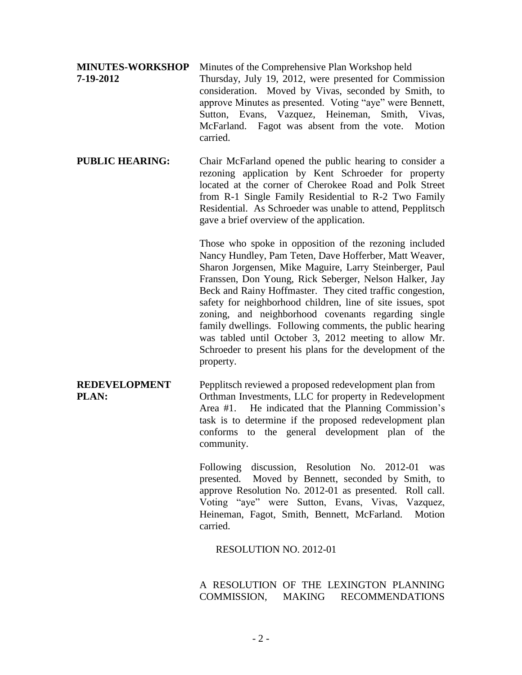## **MINUTES-WORKSHOP** Minutes of the Comprehensive Plan Workshop held

**7-19-2012** Thursday, July 19, 2012, were presented for Commission consideration. Moved by Vivas, seconded by Smith, to approve Minutes as presented. Voting "aye" were Bennett, Sutton, Evans, Vazquez, Heineman, Smith, Vivas, McFarland. Fagot was absent from the vote. Motion carried.

**PUBLIC HEARING:** Chair McFarland opened the public hearing to consider a rezoning application by Kent Schroeder for property located at the corner of Cherokee Road and Polk Street from R-1 Single Family Residential to R-2 Two Family Residential. As Schroeder was unable to attend, Pepplitsch gave a brief overview of the application.

> Those who spoke in opposition of the rezoning included Nancy Hundley, Pam Teten, Dave Hofferber, Matt Weaver, Sharon Jorgensen, Mike Maguire, Larry Steinberger, Paul Franssen, Don Young, Rick Seberger, Nelson Halker, Jay Beck and Rainy Hoffmaster. They cited traffic congestion, safety for neighborhood children, line of site issues, spot zoning, and neighborhood covenants regarding single family dwellings. Following comments, the public hearing was tabled until October 3, 2012 meeting to allow Mr. Schroeder to present his plans for the development of the property.

**REDEVELOPMENT** Pepplitsch reviewed a proposed redevelopment plan from **PLAN:** Orthman Investments, LLC for property in Redevelopment Area #1. He indicated that the Planning Commission's task is to determine if the proposed redevelopment plan conforms to the general development plan of the community.

> Following discussion, Resolution No. 2012-01 was presented. Moved by Bennett, seconded by Smith, to approve Resolution No. 2012-01 as presented. Roll call. Voting "aye" were Sutton, Evans, Vivas, Vazquez, Heineman, Fagot, Smith, Bennett, McFarland. Motion carried.

RESOLUTION NO. 2012-01

A RESOLUTION OF THE LEXINGTON PLANNING COMMISSION, MAKING RECOMMENDATIONS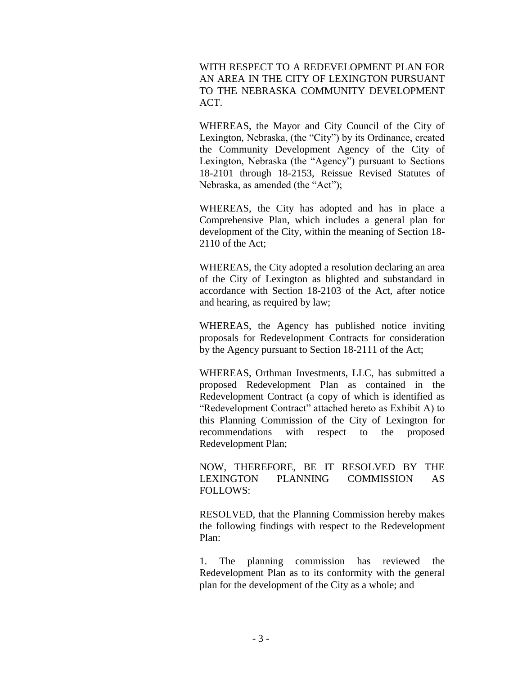WITH RESPECT TO A REDEVELOPMENT PLAN FOR AN AREA IN THE CITY OF LEXINGTON PURSUANT TO THE NEBRASKA COMMUNITY DEVELOPMENT ACT.

WHEREAS, the Mayor and City Council of the City of Lexington, Nebraska, (the "City") by its Ordinance, created the Community Development Agency of the City of Lexington, Nebraska (the "Agency") pursuant to Sections 18-2101 through 18-2153, Reissue Revised Statutes of Nebraska, as amended (the "Act");

WHEREAS, the City has adopted and has in place a Comprehensive Plan, which includes a general plan for development of the City, within the meaning of Section 18- 2110 of the Act;

WHEREAS, the City adopted a resolution declaring an area of the City of Lexington as blighted and substandard in accordance with Section 18-2103 of the Act, after notice and hearing, as required by law;

WHEREAS, the Agency has published notice inviting proposals for Redevelopment Contracts for consideration by the Agency pursuant to Section 18-2111 of the Act;

WHEREAS, Orthman Investments, LLC, has submitted a proposed Redevelopment Plan as contained in the Redevelopment Contract (a copy of which is identified as "Redevelopment Contract" attached hereto as Exhibit A) to this Planning Commission of the City of Lexington for recommendations with respect to the proposed Redevelopment Plan;

NOW, THEREFORE, BE IT RESOLVED BY THE LEXINGTON PLANNING COMMISSION AS FOLLOWS:

RESOLVED, that the Planning Commission hereby makes the following findings with respect to the Redevelopment Plan:

1. The planning commission has reviewed the Redevelopment Plan as to its conformity with the general plan for the development of the City as a whole; and